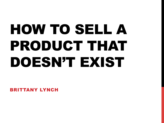# HOW TO SELL A PRODUCT THAT DOESN'T EXIST

BRITTANY LYNCH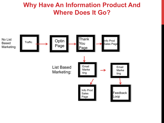#### **Why Have An Information Product And Where Does It Go?**

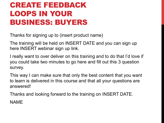#### CREATE FEEDBACK LOOPS IN YOUR BUSINESS: BUYERS

Thanks for signing up to (insert product name)

The training will be held on INSERT DATE and you can sign up here INSERT webinar sign up link.

I really want to over deliver on this training and to do that I'd love if you could take two minutes to go here and fill out this 3 question survey.

This way I can make sure that only the best content that you want to learn is delivered in this course and that all your questions are answered!

Thanks and looking forward to the training on INSERT DATE. NAME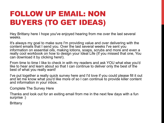#### FOLLOW UP EMAIL: NON BUYERS (TO GET IDEAS)

Hey Brittany here I hope you've enjoyed hearing from me over the last several weeks.

It's always my goal to make sure I'm providing value and over delivering with the content emails that I send you. Over the last several weeks I've sent you information on essential oils, making lotions, soaps, scrubs and more and even a really cool workbook on how to design your Ideal Life (If you missed that one, You can download it by clicking here!).

From time to time I like to check in with my readers and ask YOU what else you'd like to hear and learn about so that I can continue to deliver only the best of the best of what you really want!

I've put together a really quick survey here and I'd love if you could please fill it out and let me know what you'd like more of so I can continue to provide killer content and information in your inbox.

Complete The Survey Here

Thanks and look out for an exiting email from me in the next few days with a fun surprise :)

**Brittany**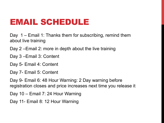# EMAIL SCHEDULE

Day 1 – Email 1: Thanks them for subscribing, remind them about live training

Day 2 –Email 2: more in depth about the live training

Day 3 –Email 3: Content

Day 5- Email 4: Content

Day 7- Email 5: Content

Day 9- Email 6: 48 Hour Warning: 2 Day warning before registration closes and price increases next time you release it

Day 10 – Email 7: 24 Hour Warning

Day 11- Email 8: 12 Hour Warning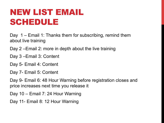# NEW LIST EMAIL SCHEDULE

Day 1 – Email 1: Thanks them for subscribing, remind them about live training

Day 2 –Email 2: more in depth about the live training

Day 3 –Email 3: Content

Day 5- Email 4: Content

Day 7- Email 5: Content

Day 9- Email 6: 48 Hour Warning before registration closes and price increases next time you release it

Day 10 – Email 7: 24 Hour Warning

Day 11- Email 8: 12 Hour Warning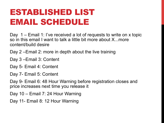# ESTABLISHED LIST EMAIL SCHEDULE

Day 1 – Email 1: I've received a lot of requests to write on x topic so in this email I want to talk a little bit more about X...more content/build desire

Day 2 –Email 2: more in depth about the live training

- Day 3 –Email 3: Content
- Day 5- Email 4: Content
- Day 7- Email 5: Content

Day 9- Email 6: 48 Hour Warning before registration closes and price increases next time you release it

Day 10 – Email 7: 24 Hour Warning

Day 11- Email 8: 12 Hour Warning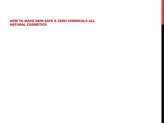#### HOW TO MAKE SKIN SAFE & ZERO CHEMICALS ALL NATURAL COSMETICS